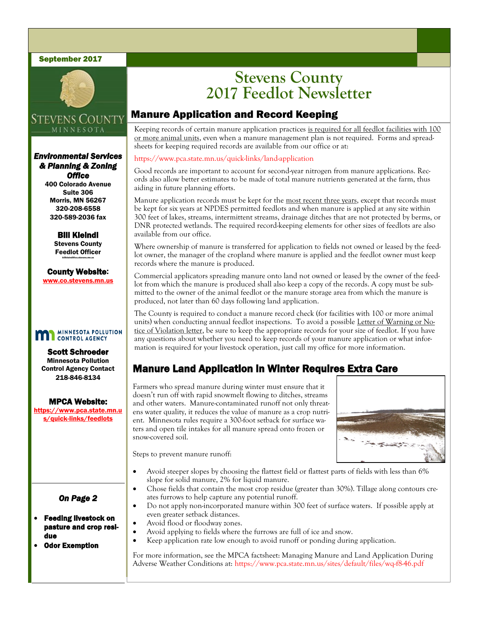#### September 2017



## **STEVENS COUNTY** MINNESOTA

### *Environmental Services & Planning & Zoning Office*

400 Colorado Avenue Suite 306 Morris, MN 56267 320-208-6558 320-589-2036 fax

> Bill Kleindl Stevens County Feedlot Officer billkleindl@co.stevens.mn.us

County Website: www.co.stevens.mn.us

#### **MINNESOTA POLLUTION** m **CONTROL AGENCY**

Scott Schroeder Minnesota Pollution Control Agency Contact 218-846-8134

MPCA Website:

https://www.pca.state.mn.u s/quick-links/feedlots

### *On Page 2*

#### Feeding livestock on pasture and crop residue

Odor Exemption

## **Stevens County 2017 Feedlot Newsletter**

## Manure Application and Record Keeping

Keeping records of certain manure application practices is required for all feedlot facilities with 100 or more animal units, even when a manure management plan is not required. Forms and spreadsheets for keeping required records are available from our office or at:

#### https://www.pca.state.mn.us/quick-links/land-application

Good records are important to account for second-year nitrogen from manure applications. Records also allow better estimates to be made of total manure nutrients generated at the farm, thus aiding in future planning efforts.

Manure application records must be kept for the most recent three years, except that records must be kept for six years at NPDES permitted feedlots and when manure is applied at any site within 300 feet of lakes, streams, intermittent streams, drainage ditches that are not protected by berms, or DNR protected wetlands. The required record-keeping elements for other sizes of feedlots are also available from our office.

Where ownership of manure is transferred for application to fields not owned or leased by the feedlot owner, the manager of the cropland where manure is applied and the feedlot owner must keep records where the manure is produced.

Commercial applicators spreading manure onto land not owned or leased by the owner of the feedlot from which the manure is produced shall also keep a copy of the records. A copy must be submitted to the owner of the animal feedlot or the manure storage area from which the manure is produced, not later than 60 days following land application.

The County is required to conduct a manure record check (for facilities with 100 or more animal units) when conducting annual feedlot inspections. To avoid a possible Letter of Warning or Notice of Violation letter, be sure to keep the appropriate records for your size of feedlot. If you have any questions about whether you need to keep records of your manure application or what information is required for your livestock operation, just call my office for more information.

## Manure Land Application in Winter Requires Extra Care

Farmers who spread manure during winter must ensure that it doesn't run off with rapid snowmelt flowing to ditches, streams and other waters. Manure-contaminated runoff not only threatens water quality, it reduces the value of manure as a crop nutrient. Minnesota rules require a 300-foot setback for surface waters and open tile intakes for all manure spread onto frozen or snow-covered soil.



Steps to prevent manure runoff:

- Avoid steeper slopes by choosing the flattest field or flattest parts of fields with less than 6% slope for solid manure, 2% for liquid manure.
- Chose fields that contain the most crop residue (greater than 30%). Tillage along contours creates furrows to help capture any potential runoff.
- Do not apply non-incorporated manure within 300 feet of surface waters. If possible apply at even greater setback distances.
- Avoid flood or floodway zones.
- Avoid applying to fields where the furrows are full of ice and snow.
- Keep application rate low enough to avoid runoff or ponding during application.

For more information, see the MPCA factsheet: Managing Manure and Land Application During Adverse Weather Conditions at: https://www.pca.state.mn.us/sites/default/files/wq-f8-46.pdf